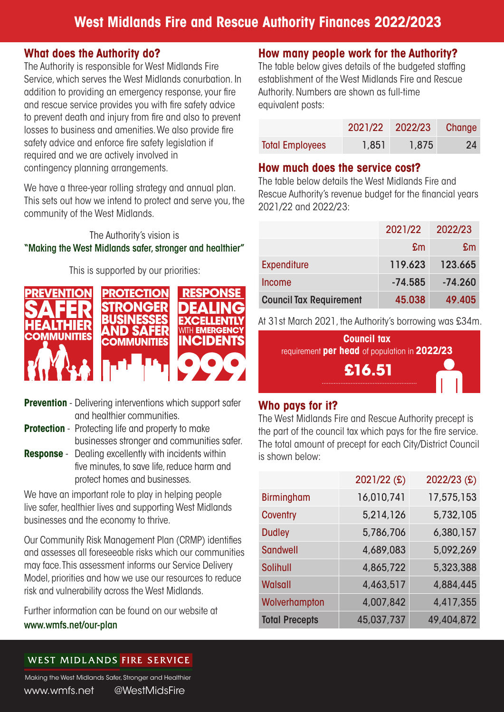#### **What does the Authority do?**

The Authority is responsible for West Midlands Fire Service, which serves the West Midlands conurbation. In addition to providing an emergency response, your fire and rescue service provides you with fire safety advice to prevent death and injury from fire and also to prevent losses to business and amenities. We also provide fire safety advice and enforce fire safety legislation if required and we are actively involved in contingency planning arrangements.

We have a three-year rolling strategy and annual plan. This sets out how we intend to protect and serve you, the community of the West Midlands.

### The Authority's vision is "Making the West Midlands safer, stronger and healthier"

This is supported by our priorities:



- **Prevention** Delivering interventions which support safer and healthier communities.
- **Protection** Protecting life and property to make businesses stronger and communities safer.
- **Response** Dealing excellently with incidents within five minutes, to save life, reduce harm and protect homes and businesses.

We have an important role to play in helping people live safer, healthier lives and supporting West Midlands businesses and the economy to thrive.

Our Community Risk Management Plan (CRMP) identifies and assesses all foreseeable risks which our communities may face. This assessment informs our Service Delivery Model, priorities and how we use our resources to reduce risk and vulnerability across the West Midlands.

Further information can be found on our website at www.wmfs.net/our-plan

## **How many people work for the Authority?**

The table below gives details of the budgeted staffing establishment of the West Midlands Fire and Rescue Authority. Numbers are shown as full-time equivalent posts:

|                        |       | 2021/22 2022/23 | Change    |
|------------------------|-------|-----------------|-----------|
| <b>Total Employees</b> | 1,851 | 1,875           | <b>24</b> |

#### **How much does the service cost?**

The table below details the West Midlands Fire and Rescue Authority's revenue budget for the financial years 2021/22 and 2022/23:

|                                | 2021/22   | 2022/23   |
|--------------------------------|-----------|-----------|
|                                | £m        | £m        |
| <b>Expenditure</b>             | 119.623   | 123.665   |
| <b>Income</b>                  | $-74.585$ | $-74.260$ |
| <b>Council Tax Requirement</b> | 45.038    | 49.405    |

At 31st March 2021, the Authority's borrowing was £34m.



### **Who pays for it?**

The West Midlands Fire and Rescue Authority precept is the part of the council tax which pays for the fire service. The total amount of precept for each City/District Council is shown below:

|                       | 2021/22 (£) | 2022/23 (£) |
|-----------------------|-------------|-------------|
| <b>Birmingham</b>     | 16,010,741  | 17,575,153  |
| <b>Coventry</b>       | 5,214,126   | 5,732,105   |
| <b>Dudley</b>         | 5,786,706   | 6,380,157   |
| <b>Sandwell</b>       | 4,689,083   | 5,092,269   |
| <b>Solihull</b>       | 4,865,722   | 5,323,388   |
| <b>Walsall</b>        | 4,463,517   | 4,884,445   |
| Wolverhampton         | 4,007,842   | 4,417,355   |
| <b>Total Precepts</b> | 45,037,737  | 49,404,872  |

### WEST MIDLANDS FIRE SERVICE